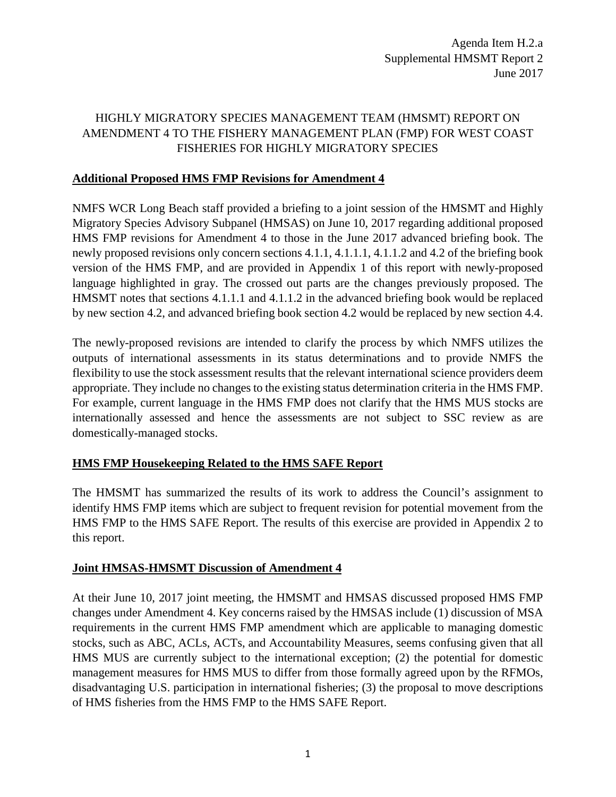# HIGHLY MIGRATORY SPECIES MANAGEMENT TEAM (HMSMT) REPORT ON AMENDMENT 4 TO THE FISHERY MANAGEMENT PLAN (FMP) FOR WEST COAST FISHERIES FOR HIGHLY MIGRATORY SPECIES

## **Additional Proposed HMS FMP Revisions for Amendment 4**

NMFS WCR Long Beach staff provided a briefing to a joint session of the HMSMT and Highly Migratory Species Advisory Subpanel (HMSAS) on June 10, 2017 regarding additional proposed HMS FMP revisions for Amendment 4 to those in the June 2017 advanced briefing book. The newly proposed revisions only concern sections 4.1.1, 4.1.1.1, 4.1.1.2 and 4.2 of the briefing book version of the HMS FMP, and are provided in Appendix 1 of this report with newly-proposed language highlighted in gray. The crossed out parts are the changes previously proposed. The HMSMT notes that sections 4.1.1.1 and 4.1.1.2 in the advanced briefing book would be replaced by new section 4.2, and advanced briefing book section 4.2 would be replaced by new section 4.4.

The newly-proposed revisions are intended to clarify the process by which NMFS utilizes the outputs of international assessments in its status determinations and to provide NMFS the flexibility to use the stock assessment results that the relevant international science providers deem appropriate. They include no changes to the existing status determination criteria in the HMS FMP. For example, current language in the HMS FMP does not clarify that the HMS MUS stocks are internationally assessed and hence the assessments are not subject to SSC review as are domestically-managed stocks.

# **HMS FMP Housekeeping Related to the HMS SAFE Report**

The HMSMT has summarized the results of its work to address the Council's assignment to identify HMS FMP items which are subject to frequent revision for potential movement from the HMS FMP to the HMS SAFE Report. The results of this exercise are provided in Appendix 2 to this report.

#### **Joint HMSAS-HMSMT Discussion of Amendment 4**

At their June 10, 2017 joint meeting, the HMSMT and HMSAS discussed proposed HMS FMP changes under Amendment 4. Key concerns raised by the HMSAS include (1) discussion of MSA requirements in the current HMS FMP amendment which are applicable to managing domestic stocks, such as ABC, ACLs, ACTs, and Accountability Measures, seems confusing given that all HMS MUS are currently subject to the international exception; (2) the potential for domestic management measures for HMS MUS to differ from those formally agreed upon by the RFMOs, disadvantaging U.S. participation in international fisheries; (3) the proposal to move descriptions of HMS fisheries from the HMS FMP to the HMS SAFE Report.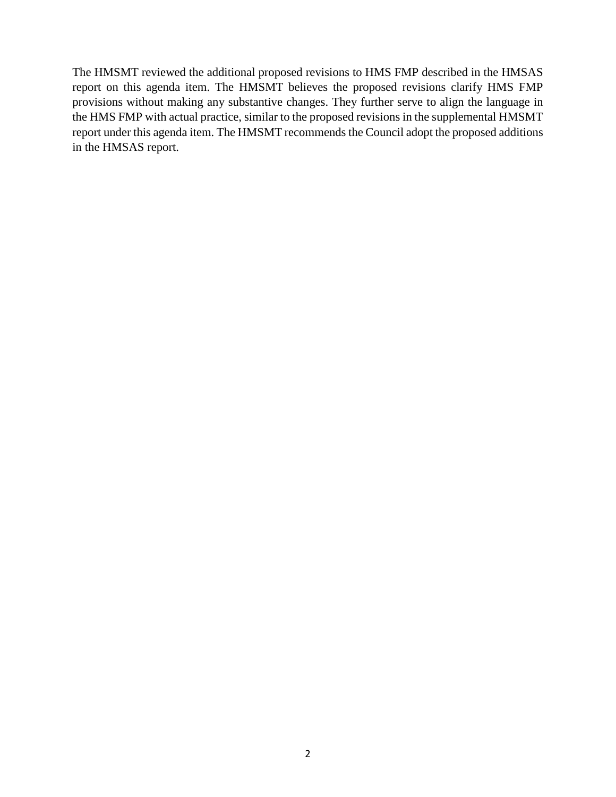The HMSMT reviewed the additional proposed revisions to HMS FMP described in the HMSAS report on this agenda item. The HMSMT believes the proposed revisions clarify HMS FMP provisions without making any substantive changes. They further serve to align the language in the HMS FMP with actual practice, similar to the proposed revisions in the supplemental HMSMT report under this agenda item. The HMSMT recommends the Council adopt the proposed additions in the HMSAS report.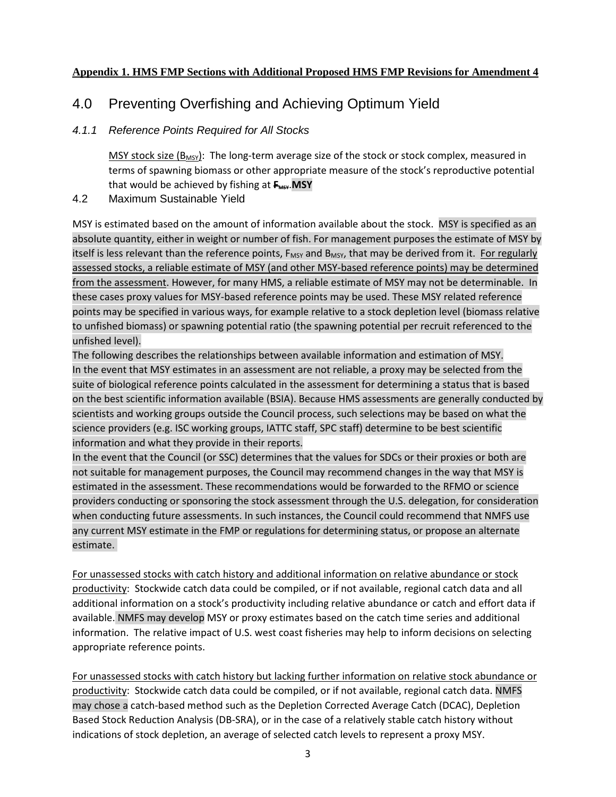## **Appendix 1. HMS FMP Sections with Additional Proposed HMS FMP Revisions for Amendment 4**

# 4.0 Preventing Overfishing and Achieving Optimum Yield

# *4.1.1 Reference Points Required for All Stocks*

MSY stock size ( $B_{MSV}$ ): The long-term average size of the stock or stock complex, measured in terms of spawning biomass or other appropriate measure of the stock's reproductive potential that would be achieved by fishing at  $F_{\text{MSY}}$ . MSY

4.2 Maximum Sustainable Yield

MSY is estimated based on the amount of information available about the stock. MSY is specified as an absolute quantity, either in weight or number of fish. For management purposes the estimate of MSY by itself is less relevant than the reference points, F<sub>MSY</sub> and B<sub>MSY</sub>, that may be derived from it. For regularly assessed stocks, a reliable estimate of MSY (and other MSY-based reference points) may be determined from the assessment. However, for many HMS, a reliable estimate of MSY may not be determinable. In these cases proxy values for MSY-based reference points may be used. These MSY related reference points may be specified in various ways, for example relative to a stock depletion level (biomass relative to unfished biomass) or spawning potential ratio (the spawning potential per recruit referenced to the unfished level).

The following describes the relationships between available information and estimation of MSY. In the event that MSY estimates in an assessment are not reliable, a proxy may be selected from the suite of biological reference points calculated in the assessment for determining a status that is based on the best scientific information available (BSIA). Because HMS assessments are generally conducted by scientists and working groups outside the Council process, such selections may be based on what the science providers (e.g. ISC working groups, IATTC staff, SPC staff) determine to be best scientific information and what they provide in their reports.

In the event that the Council (or SSC) determines that the values for SDCs or their proxies or both are not suitable for management purposes, the Council may recommend changes in the way that MSY is estimated in the assessment. These recommendations would be forwarded to the RFMO or science providers conducting or sponsoring the stock assessment through the U.S. delegation, for consideration when conducting future assessments. In such instances, the Council could recommend that NMFS use any current MSY estimate in the FMP or regulations for determining status, or propose an alternate estimate.

For unassessed stocks with catch history and additional information on relative abundance or stock productivity: Stockwide catch data could be compiled, or if not available, regional catch data and all additional information on a stock's productivity including relative abundance or catch and effort data if available. NMFS may develop MSY or proxy estimates based on the catch time series and additional information. The relative impact of U.S. west coast fisheries may help to inform decisions on selecting appropriate reference points.

For unassessed stocks with catch history but lacking further information on relative stock abundance or productivity: Stockwide catch data could be compiled, or if not available, regional catch data. NMFS may chose a catch-based method such as the Depletion Corrected Average Catch (DCAC), Depletion Based Stock Reduction Analysis (DB-SRA), or in the case of a relatively stable catch history without indications of stock depletion, an average of selected catch levels to represent a proxy MSY.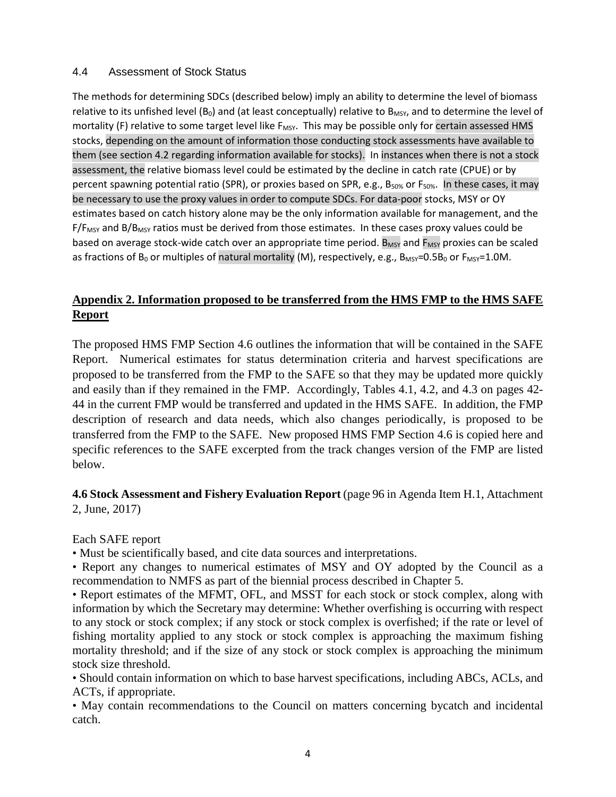#### 4.4 Assessment of Stock Status

The methods for determining SDCs (described below) imply an ability to determine the level of biomass relative to its unfished level ( $B_0$ ) and (at least conceptually) relative to  $B_{MSV}$ , and to determine the level of mortality (F) relative to some target level like F<sub>MSY</sub>. This may be possible only for certain assessed HMS stocks, depending on the amount of information those conducting stock assessments have available to them (see section 4.2 regarding information available for stocks). In instances when there is not a stock assessment, the relative biomass level could be estimated by the decline in catch rate (CPUE) or by percent spawning potential ratio (SPR), or proxies based on SPR, e.g., B<sub>50%</sub> or F<sub>50%</sub>. In these cases, it may be necessary to use the proxy values in order to compute SDCs. For data-poor stocks, MSY or OY estimates based on catch history alone may be the only information available for management, and the  $F/F_{MSY}$  and B/B<sub>MSY</sub> ratios must be derived from those estimates. In these cases proxy values could be based on average stock-wide catch over an appropriate time period.  $B_{MSY}$  and  $F_{MSY}$  proxies can be scaled as fractions of  $B_0$  or multiples of natural mortality (M), respectively, e.g.,  $B_{MSV}=0.5B_0$  or  $F_{MSV}=1.0M$ .

# **Appendix 2. Information proposed to be transferred from the HMS FMP to the HMS SAFE Report**

The proposed HMS FMP Section 4.6 outlines the information that will be contained in the SAFE Report. Numerical estimates for status determination criteria and harvest specifications are proposed to be transferred from the FMP to the SAFE so that they may be updated more quickly and easily than if they remained in the FMP. Accordingly, Tables 4.1, 4.2, and 4.3 on pages 42- 44 in the current FMP would be transferred and updated in the HMS SAFE. In addition, the FMP description of research and data needs, which also changes periodically, is proposed to be transferred from the FMP to the SAFE. New proposed HMS FMP Section 4.6 is copied here and specific references to the SAFE excerpted from the track changes version of the FMP are listed below.

# **4.6 Stock Assessment and Fishery Evaluation Report** (page 96 in Agenda Item H.1, Attachment 2, June, 2017)

Each SAFE report

• Must be scientifically based, and cite data sources and interpretations.

• Report any changes to numerical estimates of MSY and OY adopted by the Council as a recommendation to NMFS as part of the biennial process described in Chapter 5.

• Report estimates of the MFMT, OFL, and MSST for each stock or stock complex, along with information by which the Secretary may determine: Whether overfishing is occurring with respect to any stock or stock complex; if any stock or stock complex is overfished; if the rate or level of fishing mortality applied to any stock or stock complex is approaching the maximum fishing mortality threshold; and if the size of any stock or stock complex is approaching the minimum stock size threshold.

• Should contain information on which to base harvest specifications, including ABCs, ACLs, and ACTs, if appropriate.

• May contain recommendations to the Council on matters concerning bycatch and incidental catch.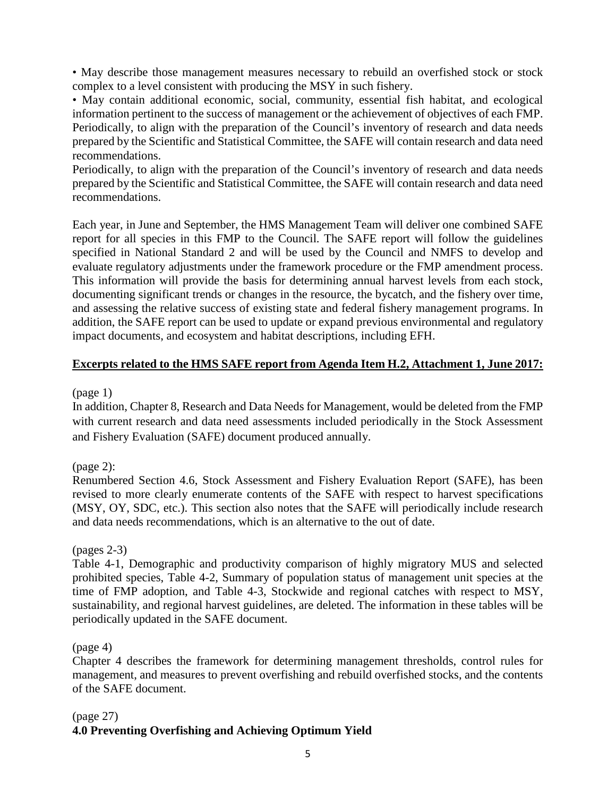• May describe those management measures necessary to rebuild an overfished stock or stock complex to a level consistent with producing the MSY in such fishery.

• May contain additional economic, social, community, essential fish habitat, and ecological information pertinent to the success of management or the achievement of objectives of each FMP. Periodically, to align with the preparation of the Council's inventory of research and data needs prepared by the Scientific and Statistical Committee, the SAFE will contain research and data need recommendations.

Periodically, to align with the preparation of the Council's inventory of research and data needs prepared by the Scientific and Statistical Committee, the SAFE will contain research and data need recommendations.

Each year, in June and September, the HMS Management Team will deliver one combined SAFE report for all species in this FMP to the Council. The SAFE report will follow the guidelines specified in National Standard 2 and will be used by the Council and NMFS to develop and evaluate regulatory adjustments under the framework procedure or the FMP amendment process. This information will provide the basis for determining annual harvest levels from each stock, documenting significant trends or changes in the resource, the bycatch, and the fishery over time, and assessing the relative success of existing state and federal fishery management programs. In addition, the SAFE report can be used to update or expand previous environmental and regulatory impact documents, and ecosystem and habitat descriptions, including EFH.

# **Excerpts related to the HMS SAFE report from Agenda Item H.2, Attachment 1, June 2017:**

(page 1)

In addition, Chapter 8, Research and Data Needs for Management, would be deleted from the FMP with current research and data need assessments included periodically in the Stock Assessment and Fishery Evaluation (SAFE) document produced annually.

(page 2):

Renumbered Section 4.6, Stock Assessment and Fishery Evaluation Report (SAFE), has been revised to more clearly enumerate contents of the SAFE with respect to harvest specifications (MSY, OY, SDC, etc.). This section also notes that the SAFE will periodically include research and data needs recommendations, which is an alternative to the out of date.

(pages 2-3)

Table 4-1, Demographic and productivity comparison of highly migratory MUS and selected prohibited species, Table 4-2, Summary of population status of management unit species at the time of FMP adoption, and Table 4-3, Stockwide and regional catches with respect to MSY, sustainability, and regional harvest guidelines, are deleted. The information in these tables will be periodically updated in the SAFE document.

(page 4)

Chapter 4 describes the framework for determining management thresholds, control rules for management, and measures to prevent overfishing and rebuild overfished stocks, and the contents of the SAFE document.

# (page 27)

# **4.0 Preventing Overfishing and Achieving Optimum Yield**